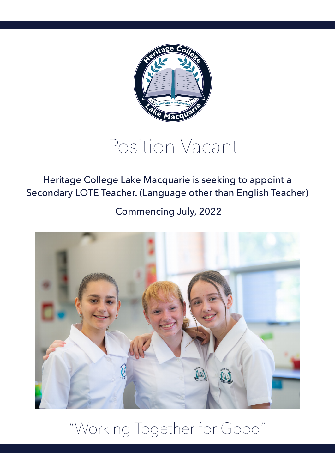

# Position Vacant

Heritage College Lake Macquarie is seeking to appoint a Secondary LOTE Teacher. (Language other than English Teacher)

Commencing July, 2022



"Working Together for Good"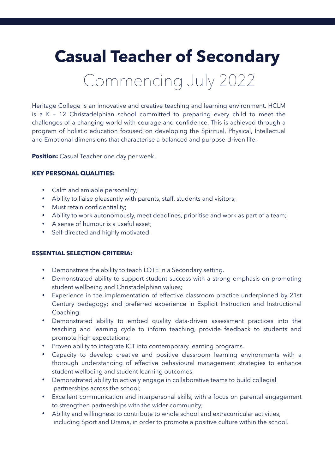# **Casual Teacher of Secondary**

Commencing July 2022

Heritage College is an innovative and creative teaching and learning environment. HCLM is a K – 12 Christadelphian school committed to preparing every child to meet the challenges of a changing world with courage and confidence. This is achieved through a program of holistic education focused on developing the Spiritual, Physical, Intellectual and Emotional dimensions that characterise a balanced and purpose-driven life.

**Position:** Casual Teacher one day per week.

## **KEY PERSONAL QUALITIES:**

- Calm and amiable personality;
- Ability to liaise pleasantly with parents, staff, students and visitors;
- Must retain confidentiality;
- Ability to work autonomously, meet deadlines, prioritise and work as part of a team;
- A sense of humour is a useful asset;
- Self-directed and highly motivated.

#### **ESSENTIAL SELECTION CRITERIA:**

- Demonstrate the ability to teach LOTE in a Secondary setting.
- Demonstrated ability to support student success with a strong emphasis on promoting student wellbeing and Christadelphian values;
- Experience in the implementation of effective classroom practice underpinned by 21st Century pedagogy; and preferred experience in Explicit Instruction and Instructional Coaching.
- Demonstrated ability to embed quality data-driven assessment practices into the teaching and learning cycle to inform teaching, provide feedback to students and promote high expectations;
- Proven ability to integrate ICT into contemporary learning programs.
- Capacity to develop creative and positive classroom learning environments with a thorough understanding of effective behavioural management strategies to enhance student wellbeing and student learning outcomes;
- Demonstrated ability to actively engage in collaborative teams to build collegial partnerships across the school;
- Excellent communication and interpersonal skills, with a focus on parental engagement to strengthen partnerships with the wider community;
- Ability and willingness to contribute to whole school and extracurricular activities, including Sport and Drama, in order to promote a positive culture within the school.